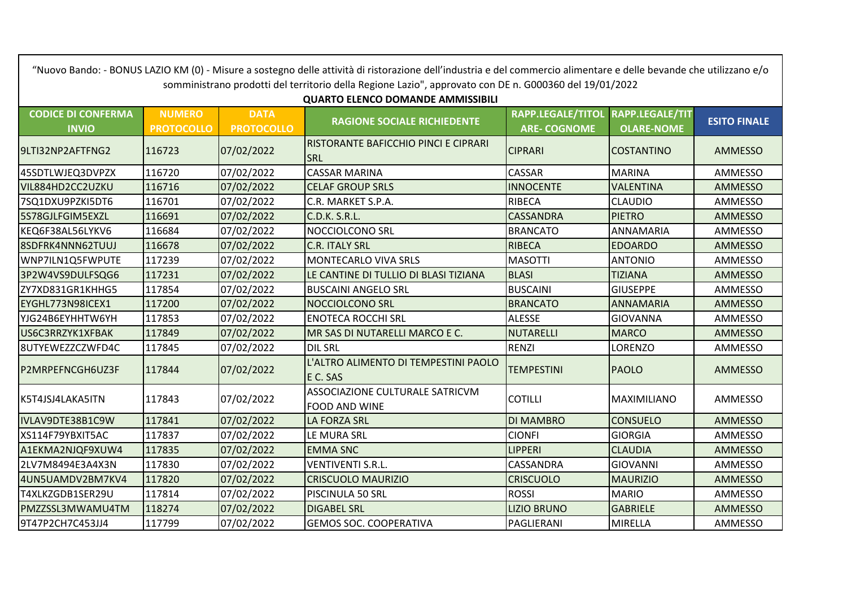**CODICE DI CONFERMA INVIO NUMERO PROTOCOLLO DATA PROTOCOLLO RAGIONE SOCIALE RICHIEDENTE RAPP.LEGALE/TITOL ARE- COGNOME RAPP.LEGALE/TIT OLARE-NOME ESITO FINALE** 9LTI32NP2AFTFNG2 116723 07/02/2022 RISTORANTE BAFICCHIO PINCI E CIPRARI **SRL** CIPRARI COSTANTINO AMMESSO 45SDTLWJEQ3DVPZX |116720 |07/02/2022 |CASSAR MARINA | CASSAR | MARINA | AMMESSO VIL884HD2CC2UZKU |116716 |07/02/2022 |CELAF GROUP SRLS |INNOCENTE |VALENTINA | AMMESSO 7SQ1DXU9PZKI5DT6 |116701 |07/02/2022 |C.R. MARKET S.P.A. |RIBECA |CLAUDIO | AMMESSO 5S78GJLFGIM5EXZL |116691 |07/02/2022 |C.D.K. S.R.L. | |C.ASSANDRA |PIETRO | AMMESSO KEQ6F38AL56LYKV6 |116684 |07/02/2022 |NOCCIOLCONO SRL |BRANCATO |ANNAMARIA | AMMESSO 8SDFRK4NNN62TUUJ |116678 |07/02/2022 |C.R. ITALY SRL |RIBECA |RIBECA | EDOARDO | AMMESSO WNP7ILN1Q5FWPUTE 117239 07/02/2022 MONTECARLO VIVA SRLS MASOTTI ANTONIO AMMESSO 3P2W4VS9DULFSQG6 117231 07/02/2022 LE CANTINE DI TULLIO DI BLASI TIZIANA BLASI TIZIANA AMMESSO ZY7XD831GR1KHHG5 |117854 |07/02/2022 |BUSCAINI ANGELO SRL ||GIUSEPPE | AMMESSO EYGHL773N98ICEX1 |117200 |07/02/2022 |NOCCIOLCONO SRL |BRANCATO |ANNAMARIA | AMMESSO YJG24B6EYHHTW6YH 117853 07/02/2022 ENOTECA ROCCHI SRL ALESSE GIOVANNA AMMESSO US6C3RRZYK1XFBAK |117849 |07/02/2022 |MR SAS DI NUTARELLI MARCO E C. | NUTARELLI | MARCO | AMMESSO | 8UTYEWEZZCZWFD4C 117845 07/02/2022 DIL SRL RENZI LORENZO AMMESSO P2MRPEFNCGH6UZ3F 117844 07/02/2022 L'ALTRO ALIMENTO DI TEMPESTINI PAOLO E C. SAS TEMPESTINI PAOLO AMMESSO K5T4JSJ4LAKA5ITN 117843 07/02/2022 ASSOCIAZIONE CULTURALE SATRICVM FOOD AND WINE COTILLI MAXIMILIANO AMMESSO IVLAV9DTE38B1C9W |117841 |07/02/2022 |LA FORZA SRL |DI MAMBRO |CONSUELO | AMMESSO XS114F79YBXIT5AC 117837 07/02/2022 LE MURA SRL CIONFI GIORGIA AMMESSO A1EKMA2NJQF9XUW4 |117835 |07/02/2022 |EMMA SNC | LIPPERI | CLAUDIA | AMMESSO 2LV7M8494E3A4X3N |117830 |07/02/2022 |VENTIVENTI S.R.L. |CASSANDRA |GIOVANNI | AMMESSO 4UN5UAMDV2BM7KV4 117820 07/02/2022 CRISCUOLO MAURIZIO CRISCUOLO MAURIZIO AMMESSO T4XLKZGDB1SER29U 117814 07/02/2022 PISCINULA 50 SRL ROSSI MARIO AMMESSO PMZZSSL3MWAMU4TM 118274 07/02/2022 DIGABEL SRL LIZIO BRUNO GABRIELE AMMESSO 9T47P2CH7C453JJ4 117799 07/02/2022 GEMOS SOC. COOPERATIVA PAGLIERANI MIRELLA AMMESSO somministrano prodotti del territorio della Regione Lazio", approvato con DE n. G000360 del 19/01/2022 **QUARTO ELENCO DOMANDE AMMISSIBILI** 

"Nuovo Bando: - BONUS LAZIO KM (0) - Misure a sostegno delle attività di ristorazione dell'industria e del commercio alimentare e delle bevande che utilizzano e/o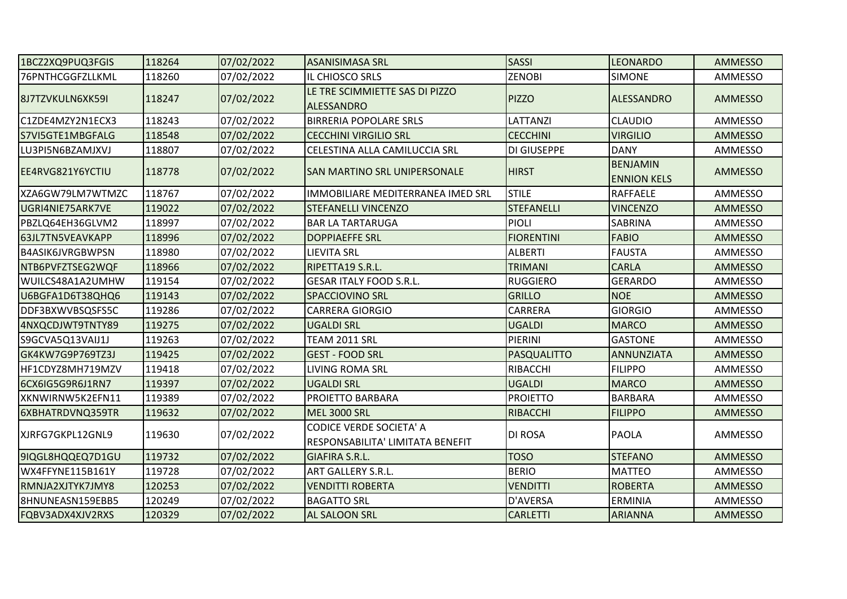| 1BCZ2XQ9PUQ3FGIS        | 118264 | 07/02/2022 | <b>ASANISIMASA SRL</b>                                             | <b>SASSI</b>       | <b>LEONARDO</b>                       | <b>AMMESSO</b> |
|-------------------------|--------|------------|--------------------------------------------------------------------|--------------------|---------------------------------------|----------------|
| 76PNTHCGGFZLLKML        | 118260 | 07/02/2022 | IL CHIOSCO SRLS                                                    | <b>ZENOBI</b>      | <b>SIMONE</b>                         | AMMESSO        |
| 8J7TZVKULN6XK59I        | 118247 | 07/02/2022 | LE TRE SCIMMIETTE SAS DI PIZZO<br><b>ALESSANDRO</b>                | <b>PIZZO</b>       | <b>ALESSANDRO</b>                     | AMMESSO        |
| C1ZDE4MZY2N1ECX3        | 118243 | 07/02/2022 | <b>BIRRERIA POPOLARE SRLS</b>                                      | LATTANZI           | <b>CLAUDIO</b>                        | AMMESSO        |
| S7VI5GTE1MBGFALG        | 118548 | 07/02/2022 | <b>CECCHINI VIRGILIO SRL</b>                                       | <b>CECCHINI</b>    | <b>VIRGILIO</b>                       | AMMESSO        |
| LU3PI5N6BZAMJXVJ        | 118807 | 07/02/2022 | CELESTINA ALLA CAMILUCCIA SRL                                      | DI GIUSEPPE        | <b>DANY</b>                           | AMMESSO        |
| EE4RVG821Y6YCTIU        | 118778 | 07/02/2022 | <b>SAN MARTINO SRL UNIPERSONALE</b>                                | <b>HIRST</b>       | <b>BENJAMIN</b><br><b>ENNION KELS</b> | AMMESSO        |
| XZA6GW79LM7WTMZC        | 118767 | 07/02/2022 | IMMOBILIARE MEDITERRANEA IMED SRL                                  | <b>STILE</b>       | RAFFAELE                              | <b>AMMESSO</b> |
| UGRI4NIE75ARK7VE        | 119022 | 07/02/2022 | <b>STEFANELLI VINCENZO</b>                                         | <b>STEFANELLI</b>  | <b>VINCENZO</b>                       | AMMESSO        |
| PBZLQ64EH36GLVM2        | 118997 | 07/02/2022 | <b>BAR LA TARTARUGA</b>                                            | PIOLI              | SABRINA                               | AMMESSO        |
| 63JL7TN5VEAVKAPP        | 118996 | 07/02/2022 | <b>DOPPIAEFFE SRL</b>                                              | <b>FIORENTINI</b>  | <b>FABIO</b>                          | AMMESSO        |
| <b>B4ASIK6JVRGBWPSN</b> | 118980 | 07/02/2022 | <b>LIEVITA SRL</b>                                                 | <b>ALBERTI</b>     | <b>FAUSTA</b>                         | AMMESSO        |
| NTB6PVFZTSEG2WQF        | 118966 | 07/02/2022 | <b>RIPETTA19 S.R.L.</b>                                            | <b>TRIMANI</b>     | <b>CARLA</b>                          | <b>AMMESSO</b> |
| WUILCS48A1A2UMHW        | 119154 | 07/02/2022 | <b>GESAR ITALY FOOD S.R.L.</b>                                     | <b>RUGGIERO</b>    | <b>GERARDO</b>                        | AMMESSO        |
| U6BGFA1D6T38QHQ6        | 119143 | 07/02/2022 | <b>SPACCIOVINO SRL</b>                                             | <b>GRILLO</b>      | <b>NOE</b>                            | AMMESSO        |
| DDF3BXWVBSQSFS5C        | 119286 | 07/02/2022 | <b>CARRERA GIORGIO</b>                                             | CARRERA            | <b>GIORGIO</b>                        | AMMESSO        |
| 4NXQCDJWT9TNTY89        | 119275 | 07/02/2022 | <b>UGALDI SRL</b>                                                  | <b>UGALDI</b>      | <b>MARCO</b>                          | <b>AMMESSO</b> |
| S9GCVA5Q13VAIJ1J        | 119263 | 07/02/2022 | <b>TEAM 2011 SRL</b>                                               | PIERINI            | <b>GASTONE</b>                        | AMMESSO        |
| GK4KW7G9P769TZ3J        | 119425 | 07/02/2022 | <b>GEST - FOOD SRL</b>                                             | <b>PASQUALITTO</b> | <b>ANNUNZIATA</b>                     | <b>AMMESSO</b> |
| HF1CDYZ8MH719MZV        | 119418 | 07/02/2022 | <b>LIVING ROMA SRL</b>                                             | <b>RIBACCHI</b>    | <b>FILIPPO</b>                        | AMMESSO        |
| 6CX6IG5G9R6J1RN7        | 119397 | 07/02/2022 | <b>UGALDI SRL</b>                                                  | <b>UGALDI</b>      | <b>MARCO</b>                          | AMMESSO        |
| XKNWIRNW5K2EFN11        | 119389 | 07/02/2022 | <b>PROIETTO BARBARA</b>                                            | <b>PROIETTO</b>    | <b>BARBARA</b>                        | AMMESSO        |
| 6XBHATRDVNQ359TR        | 119632 | 07/02/2022 | MEL 3000 SRL                                                       | <b>RIBACCHI</b>    | <b>FILIPPO</b>                        | AMMESSO        |
| XJRFG7GKPL12GNL9        | 119630 | 07/02/2022 | <b>CODICE VERDE SOCIETA' A</b><br>RESPONSABILITA' LIMITATA BENEFIT | DI ROSA            | <b>PAOLA</b>                          | AMMESSO        |
| 9IQGL8HQQEQ7D1GU        | 119732 | 07/02/2022 | <b>GIAFIRA S.R.L.</b>                                              | <b>TOSO</b>        | <b>STEFANO</b>                        | AMMESSO        |
| WX4FFYNE115B161Y        | 119728 | 07/02/2022 | <b>ART GALLERY S.R.L.</b>                                          | <b>BERIO</b>       | <b>MATTEO</b>                         | AMMESSO        |
| RMNJA2XJTYK7JMY8        | 120253 | 07/02/2022 | <b>VENDITTI ROBERTA</b>                                            | <b>VENDITTI</b>    | <b>ROBERTA</b>                        | AMMESSO        |
| 8HNUNEASN159EBB5        | 120249 | 07/02/2022 | <b>BAGATTO SRL</b>                                                 | D'AVERSA           | <b>ERMINIA</b>                        | AMMESSO        |
| FQBV3ADX4XJV2RXS        | 120329 | 07/02/2022 | <b>AL SALOON SRL</b>                                               | <b>CARLETTI</b>    | <b>ARIANNA</b>                        | AMMESSO        |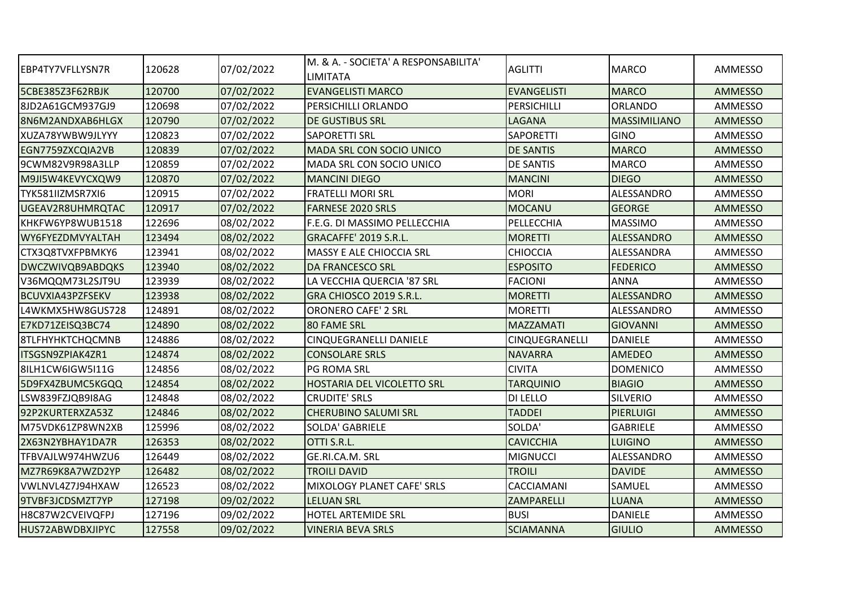| EBP4TY7VFLLYSN7R        | 120628 | 07/02/2022 | IM. & A. - SOCIETA' A RESPONSABILITA'<br><b>LIMITATA</b> | <b>AGLITTI</b>     | <b>MARCO</b>        | AMMESSO        |
|-------------------------|--------|------------|----------------------------------------------------------|--------------------|---------------------|----------------|
| 5CBE385Z3F62RBJK        | 120700 | 07/02/2022 | <b>EVANGELISTI MARCO</b>                                 | <b>EVANGELISTI</b> | <b>MARCO</b>        | <b>AMMESSO</b> |
| 8JD2A61GCM937GJ9        | 120698 | 07/02/2022 | <b>PERSICHILLI ORLANDO</b>                               | PERSICHILLI        | <b>ORLANDO</b>      | AMMESSO        |
| 8N6M2ANDXAB6HLGX        | 120790 | 07/02/2022 | <b>DE GUSTIBUS SRL</b>                                   | <b>LAGANA</b>      | <b>MASSIMILIANO</b> | <b>AMMESSO</b> |
| XUZA78YWBW9JLYYY        | 120823 | 07/02/2022 | <b>SAPORETTI SRL</b>                                     | <b>SAPORETTI</b>   | <b>GINO</b>         | AMMESSO        |
| EGN7759ZXCQIA2VB        | 120839 | 07/02/2022 | <b>MADA SRL CON SOCIO UNICO</b>                          | <b>DE SANTIS</b>   | <b>MARCO</b>        | <b>AMMESSO</b> |
| 9CWM82V9R98A3LLP        | 120859 | 07/02/2022 | MADA SRL CON SOCIO UNICO                                 | <b>DE SANTIS</b>   | <b>MARCO</b>        | AMMESSO        |
| M9JI5W4KEVYCXQW9        | 120870 | 07/02/2022 | <b>MANCINI DIEGO</b>                                     | <b>MANCINI</b>     | <b>DIEGO</b>        | <b>AMMESSO</b> |
| TYK581IIZMSR7XI6        | 120915 | 07/02/2022 | <b>FRATELLI MORI SRL</b>                                 | <b>MORI</b>        | ALESSANDRO          | <b>AMMESSO</b> |
| UGEAV2R8UHMRQTAC        | 120917 | 07/02/2022 | <b>FARNESE 2020 SRLS</b>                                 | <b>MOCANU</b>      | <b>GEORGE</b>       | AMMESSO        |
| KHKFW6YP8WUB1518        | 122696 | 08/02/2022 | F.E.G. DI MASSIMO PELLECCHIA                             | PELLECCHIA         | <b>MASSIMO</b>      | AMMESSO        |
| WY6FYEZDMVYALTAH        | 123494 | 08/02/2022 | GRACAFFE' 2019 S.R.L.                                    | <b>MORETTI</b>     | <b>ALESSANDRO</b>   | <b>AMMESSO</b> |
| CTX3Q8TVXFPBMKY6        | 123941 | 08/02/2022 | <b>MASSY E ALE CHIOCCIA SRL</b>                          | <b>CHIOCCIA</b>    | ALESSANDRA          | AMMESSO        |
| <b>DWCZWIVQB9ABDQKS</b> | 123940 | 08/02/2022 | <b>DA FRANCESCO SRL</b>                                  | <b>ESPOSITO</b>    | <b>FEDERICO</b>     | <b>AMMESSO</b> |
| V36MQQM73L2SJT9U        | 123939 | 08/02/2022 | LA VECCHIA QUERCIA '87 SRL                               | <b>FACIONI</b>     | <b>ANNA</b>         | AMMESSO        |
| <b>BCUVXIA43PZFSEKV</b> | 123938 | 08/02/2022 | GRA CHIOSCO 2019 S.R.L.                                  | <b>MORETTI</b>     | <b>ALESSANDRO</b>   | <b>AMMESSO</b> |
| L4WKMX5HW8GUS728        | 124891 | 08/02/2022 | <b>ORONERO CAFE' 2 SRL</b>                               | <b>MORETTI</b>     | ALESSANDRO          | AMMESSO        |
| E7KD71ZEISQ3BC74        | 124890 | 08/02/2022 | 180 FAME SRL                                             | <b>MAZZAMATI</b>   | <b>GIOVANNI</b>     | <b>AMMESSO</b> |
| <b>8TLFHYHKTCHQCMNB</b> | 124886 | 08/02/2022 | <b>CINQUEGRANELLI DANIELE</b>                            | CINQUEGRANELLI     | <b>DANIELE</b>      | AMMESSO        |
| ITSGSN9ZPIAK4ZR1        | 124874 | 08/02/2022 | <b>CONSOLARE SRLS</b>                                    | <b>NAVARRA</b>     | <b>AMEDEO</b>       | <b>AMMESSO</b> |
| 81LH1CW6IGW5I11G        | 124856 | 08/02/2022 | PG ROMA SRL                                              | <b>CIVITA</b>      | <b>DOMENICO</b>     | <b>AMMESSO</b> |
| I5D9FX4ZBUMC5KGQQ       | 124854 | 08/02/2022 | <b>HOSTARIA DEL VICOLETTO SRL</b>                        | <b>TARQUINIO</b>   | <b>BIAGIO</b>       | <b>AMMESSO</b> |
| LSW839FZJQB9I8AG        | 124848 | 08/02/2022 | <b>CRUDITE' SRLS</b>                                     | DI LELLO           | <b>SILVERIO</b>     | AMMESSO        |
| 92P2KURTERXZA53Z        | 124846 | 08/02/2022 | <b>CHERUBINO SALUMI SRL</b>                              | <b>TADDEI</b>      | <b>PIERLUIGI</b>    | <b>AMMESSO</b> |
| IM75VDK61ZP8WN2XB       | 125996 | 08/02/2022 | <b>SOLDA' GABRIELE</b>                                   | SOLDA'             | <b>GABRIELE</b>     | AMMESSO        |
| 2X63N2YBHAY1DA7R        | 126353 | 08/02/2022 | OTTI S.R.L.                                              | <b>CAVICCHIA</b>   | <b>LUIGINO</b>      | <b>AMMESSO</b> |
| TFBVAJLW974HWZU6        | 126449 | 08/02/2022 | GE.RI.CA.M. SRL                                          | <b>MIGNUCCI</b>    | ALESSANDRO          | AMMESSO        |
| MZ7R69K8A7WZD2YP        | 126482 | 08/02/2022 | <b>TROILI DAVID</b>                                      | <b>TROILI</b>      | <b>DAVIDE</b>       | AMMESSO        |
| VWLNVL4Z7J94HXAW        | 126523 | 08/02/2022 | MIXOLOGY PLANET CAFE' SRLS                               | CACCIAMANI         | SAMUEL              | AMMESSO        |
| 9TVBF3JCDSMZT7YP        | 127198 | 09/02/2022 | <b>LELUAN SRL</b>                                        | ZAMPARELLI         | LUANA               | <b>AMMESSO</b> |
| H8C87W2CVEIVQFPJ        | 127196 | 09/02/2022 | <b>HOTEL ARTEMIDE SRL</b>                                | <b>BUSI</b>        | <b>DANIELE</b>      | AMMESSO        |
| HUS72ABWDBXJIPYC        | 127558 | 09/02/2022 | <b>VINERIA BEVA SRLS</b>                                 | <b>SCIAMANNA</b>   | <b>GIULIO</b>       | <b>AMMESSO</b> |